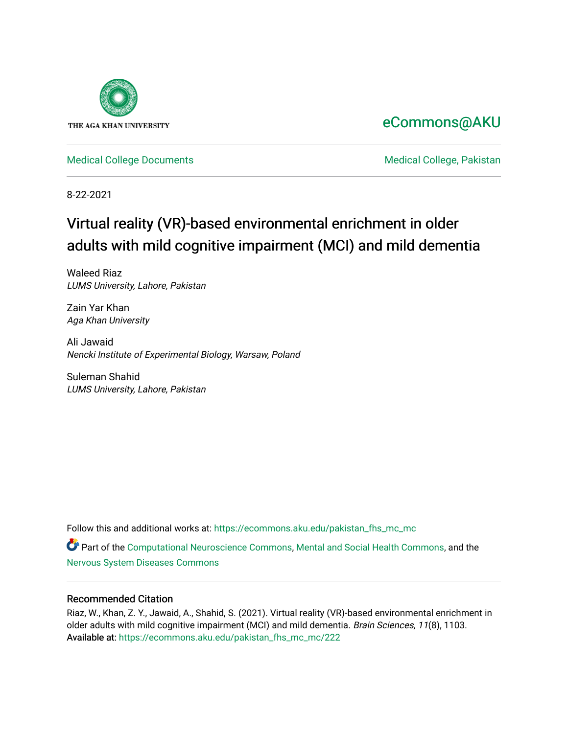

# [eCommons@AKU](https://ecommons.aku.edu/)

[Medical College Documents](https://ecommons.aku.edu/pakistan_fhs_mc_mc) **Medical College, Pakistan** 

8-22-2021

# Virtual reality (VR)-based environmental enrichment in older adults with mild cognitive impairment (MCI) and mild dementia

Waleed Riaz LUMS University, Lahore, Pakistan

Zain Yar Khan Aga Khan University

Ali Jawaid Nencki Institute of Experimental Biology, Warsaw, Poland

Suleman Shahid LUMS University, Lahore, Pakistan

Follow this and additional works at: [https://ecommons.aku.edu/pakistan\\_fhs\\_mc\\_mc](https://ecommons.aku.edu/pakistan_fhs_mc_mc?utm_source=ecommons.aku.edu%2Fpakistan_fhs_mc_mc%2F222&utm_medium=PDF&utm_campaign=PDFCoverPages) 

Part of the [Computational Neuroscience Commons,](http://network.bepress.com/hgg/discipline/58?utm_source=ecommons.aku.edu%2Fpakistan_fhs_mc_mc%2F222&utm_medium=PDF&utm_campaign=PDFCoverPages) [Mental and Social Health Commons,](http://network.bepress.com/hgg/discipline/709?utm_source=ecommons.aku.edu%2Fpakistan_fhs_mc_mc%2F222&utm_medium=PDF&utm_campaign=PDFCoverPages) and the [Nervous System Diseases Commons](http://network.bepress.com/hgg/discipline/928?utm_source=ecommons.aku.edu%2Fpakistan_fhs_mc_mc%2F222&utm_medium=PDF&utm_campaign=PDFCoverPages)

# Recommended Citation

Riaz, W., Khan, Z. Y., Jawaid, A., Shahid, S. (2021). Virtual reality (VR)-based environmental enrichment in older adults with mild cognitive impairment (MCI) and mild dementia. Brain Sciences, 11(8), 1103. Available at: [https://ecommons.aku.edu/pakistan\\_fhs\\_mc\\_mc/222](https://ecommons.aku.edu/pakistan_fhs_mc_mc/222)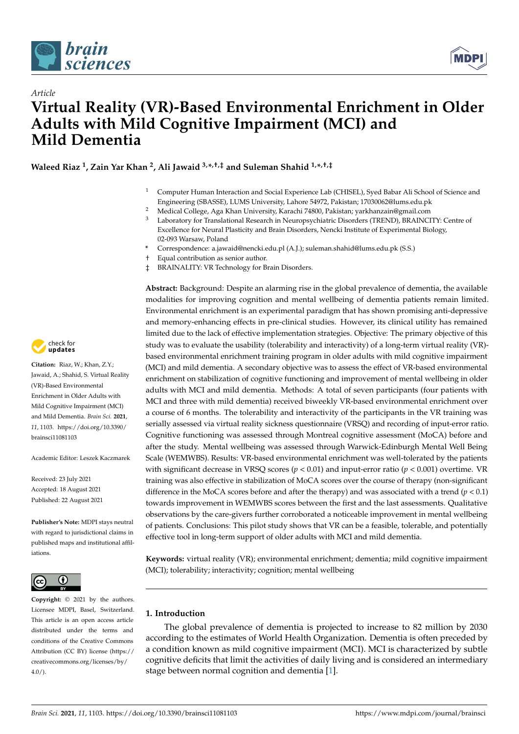

*Article*



# **Virtual Reality (VR)-Based Environmental Enrichment in Older Adults with Mild Cognitive Impairment (MCI) and Mild Dementia**

**Waleed Riaz <sup>1</sup> , Zain Yar Khan <sup>2</sup> , Ali Jawaid 3,\* ,†,‡ and Suleman Shahid 1,\* ,†,‡**

- <sup>1</sup> Computer Human Interaction and Social Experience Lab (CHISEL), Syed Babar Ali School of Science and Engineering (SBASSE), LUMS University, Lahore 54972, Pakistan; 17030062@lums.edu.pk
- <sup>2</sup> Medical College, Aga Khan University, Karachi 74800, Pakistan; yarkhanzain@gmail.com
- <sup>3</sup> Laboratory for Translational Research in Neuropsychiatric Disorders (TREND), BRAINCITY: Centre of Excellence for Neural Plasticity and Brain Disorders, Nencki Institute of Experimental Biology, 02-093 Warsaw, Poland
- **\*** Correspondence: a.jawaid@nencki.edu.pl (A.J.); suleman.shahid@lums.edu.pk (S.S.)
- † Equal contribution as senior author.
- ‡ BRAINALITY: VR Technology for Brain Disorders.

**Abstract:** Background: Despite an alarming rise in the global prevalence of dementia, the available modalities for improving cognition and mental wellbeing of dementia patients remain limited. Environmental enrichment is an experimental paradigm that has shown promising anti-depressive and memory-enhancing effects in pre-clinical studies. However, its clinical utility has remained limited due to the lack of effective implementation strategies. Objective: The primary objective of this study was to evaluate the usability (tolerability and interactivity) of a long-term virtual reality (VR) based environmental enrichment training program in older adults with mild cognitive impairment (MCI) and mild dementia. A secondary objective was to assess the effect of VR-based environmental enrichment on stabilization of cognitive functioning and improvement of mental wellbeing in older adults with MCI and mild dementia. Methods: A total of seven participants (four patients with MCI and three with mild dementia) received biweekly VR-based environmental enrichment over a course of 6 months. The tolerability and interactivity of the participants in the VR training was serially assessed via virtual reality sickness questionnaire (VRSQ) and recording of input-error ratio. Cognitive functioning was assessed through Montreal cognitive assessment (MoCA) before and after the study. Mental wellbeing was assessed through Warwick-Edinburgh Mental Well Being Scale (WEMWBS). Results: VR-based environmental enrichment was well-tolerated by the patients with significant decrease in VRSQ scores (*p* < 0.01) and input-error ratio (*p* < 0.001) overtime. VR training was also effective in stabilization of MoCA scores over the course of therapy (non-significant difference in the MoCA scores before and after the therapy) and was associated with a trend  $(p < 0.1)$ towards improvement in WEMWBS scores between the first and the last assessments. Qualitative observations by the care-givers further corroborated a noticeable improvement in mental wellbeing of patients. Conclusions: This pilot study shows that VR can be a feasible, tolerable, and potentially effective tool in long-term support of older adults with MCI and mild dementia.

**Keywords:** virtual reality (VR); environmental enrichment; dementia; mild cognitive impairment (MCI); tolerability; interactivity; cognition; mental wellbeing

# **1. Introduction**

The global prevalence of dementia is projected to increase to 82 million by 2030 according to the estimates of World Health Organization. Dementia is often preceded by a condition known as mild cognitive impairment (MCI). MCI is characterized by subtle cognitive deficits that limit the activities of daily living and is considered an intermediary stage between normal cognition and dementia [\[1\]](#page-12-0).



**Citation:** Riaz, W.; Khan, Z.Y.; Jawaid, A.; Shahid, S. Virtual Reality (VR)-Based Environmental Enrichment in Older Adults with Mild Cognitive Impairment (MCI) and Mild Dementia. *Brain Sci.* **2021**, *11*, 1103. [https://doi.org/10.3390/](https://doi.org/10.3390/brainsci11081103) [brainsci11081103](https://doi.org/10.3390/brainsci11081103)

Academic Editor: Leszek Kaczmarek

Received: 23 July 2021 Accepted: 18 August 2021 Published: 22 August 2021

**Publisher's Note:** MDPI stays neutral with regard to jurisdictional claims in published maps and institutional affiliations.



**Copyright:** © 2021 by the authors. Licensee MDPI, Basel, Switzerland. This article is an open access article distributed under the terms and conditions of the Creative Commons Attribution (CC BY) license (https:/[/](https://creativecommons.org/licenses/by/4.0/) [creativecommons.org/licenses/by/](https://creativecommons.org/licenses/by/4.0/)  $4.0/$ ).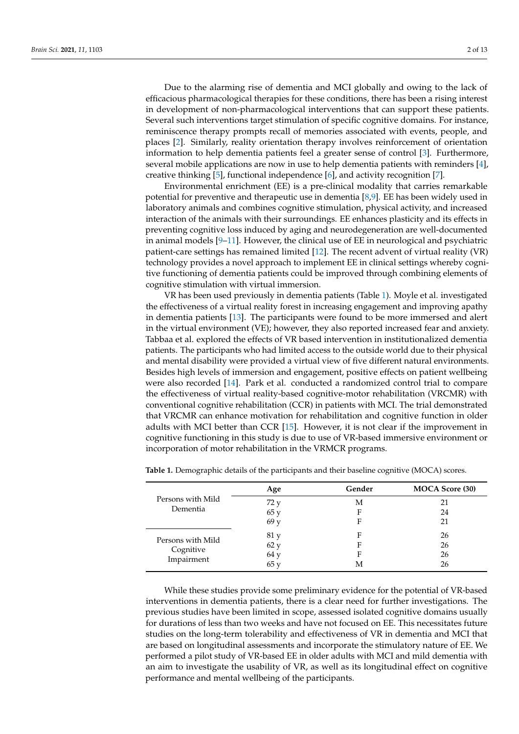Due to the alarming rise of dementia and MCI globally and owing to the lack of efficacious pharmacological therapies for these conditions, there has been a rising interest in development of non-pharmacological interventions that can support these patients. Several such interventions target stimulation of specific cognitive domains. For instance, reminiscence therapy prompts recall of memories associated with events, people, and places [\[2\]](#page-12-1). Similarly, reality orientation therapy involves reinforcement of orientation information to help dementia patients feel a greater sense of control [\[3\]](#page-12-2). Furthermore, several mobile applications are now in use to help dementia patients with reminders [\[4\]](#page-12-3), creative thinking [\[5\]](#page-12-4), functional independence [\[6\]](#page-12-5), and activity recognition [\[7\]](#page-12-6).

Environmental enrichment (EE) is a pre-clinical modality that carries remarkable potential for preventive and therapeutic use in dementia [\[8,](#page-12-7)[9\]](#page-12-8). EE has been widely used in laboratory animals and combines cognitive stimulation, physical activity, and increased interaction of the animals with their surroundings. EE enhances plasticity and its effects in preventing cognitive loss induced by aging and neurodegeneration are well-documented in animal models [\[9–](#page-12-8)[11\]](#page-12-9). However, the clinical use of EE in neurological and psychiatric patient-care settings has remained limited [\[12\]](#page-12-10). The recent advent of virtual reality (VR) technology provides a novel approach to implement EE in clinical settings whereby cognitive functioning of dementia patients could be improved through combining elements of cognitive stimulation with virtual immersion.

VR has been used previously in dementia patients (Table [1\)](#page-2-0). Moyle et al. investigated the effectiveness of a virtual reality forest in increasing engagement and improving apathy in dementia patients [\[13\]](#page-12-11). The participants were found to be more immersed and alert in the virtual environment (VE); however, they also reported increased fear and anxiety. Tabbaa et al. explored the effects of VR based intervention in institutionalized dementia patients. The participants who had limited access to the outside world due to their physical and mental disability were provided a virtual view of five different natural environments. Besides high levels of immersion and engagement, positive effects on patient wellbeing were also recorded [\[14\]](#page-12-12). Park et al. conducted a randomized control trial to compare the effectiveness of virtual reality-based cognitive-motor rehabilitation (VRCMR) with conventional cognitive rehabilitation (CCR) in patients with MCI. The trial demonstrated that VRCMR can enhance motivation for rehabilitation and cognitive function in older adults with MCI better than CCR [\[15\]](#page-12-13). However, it is not clear if the improvement in cognitive functioning in this study is due to use of VR-based immersive environment or incorporation of motor rehabilitation in the VRMCR programs.

|                               | Age  | Gender | <b>MOCA Score (30)</b> |  |
|-------------------------------|------|--------|------------------------|--|
| Persons with Mild<br>Dementia | 72 y | М      | 21                     |  |
|                               | 65y  | F      | 24                     |  |
|                               | 69y  | F      | 21                     |  |
| Persons with Mild             | 81 y | F      | 26                     |  |
|                               | 62 y | F      | 26                     |  |
| Cognitive<br>Impairment       | 64 y | Е      | 26                     |  |
|                               | 65y  | М      | 26                     |  |

<span id="page-2-0"></span>**Table 1.** Demographic details of the participants and their baseline cognitive (MOCA) scores.

While these studies provide some preliminary evidence for the potential of VR-based interventions in dementia patients, there is a clear need for further investigations. The previous studies have been limited in scope, assessed isolated cognitive domains usually for durations of less than two weeks and have not focused on EE. This necessitates future studies on the long-term tolerability and effectiveness of VR in dementia and MCI that are based on longitudinal assessments and incorporate the stimulatory nature of EE. We performed a pilot study of VR-based EE in older adults with MCI and mild dementia with an aim to investigate the usability of VR, as well as its longitudinal effect on cognitive performance and mental wellbeing of the participants.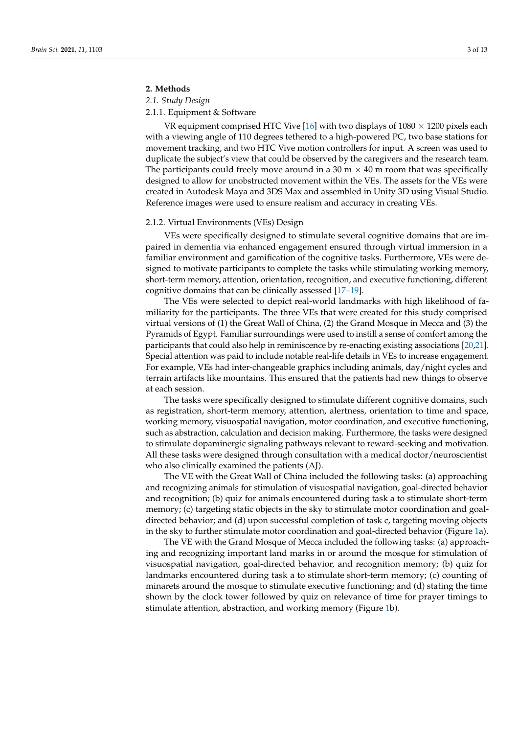# **2. Methods**

*2.1. Study Design*

# 2.1.1. Equipment & Software

VR equipment comprised HTC Vive [\[16\]](#page-12-14) with two displays of  $1080 \times 1200$  pixels each with a viewing angle of 110 degrees tethered to a high-powered PC, two base stations for movement tracking, and two HTC Vive motion controllers for input. A screen was used to duplicate the subject's view that could be observed by the caregivers and the research team. The participants could freely move around in a 30 m  $\times$  40 m room that was specifically designed to allow for unobstructed movement within the VEs. The assets for the VEs were created in Autodesk Maya and 3DS Max and assembled in Unity 3D using Visual Studio. Reference images were used to ensure realism and accuracy in creating VEs.

#### 2.1.2. Virtual Environments (VEs) Design

VEs were specifically designed to stimulate several cognitive domains that are impaired in dementia via enhanced engagement ensured through virtual immersion in a familiar environment and gamification of the cognitive tasks. Furthermore, VEs were designed to motivate participants to complete the tasks while stimulating working memory, short-term memory, attention, orientation, recognition, and executive functioning, different cognitive domains that can be clinically assessed [\[17–](#page-12-15)[19\]](#page-12-16).

The VEs were selected to depict real-world landmarks with high likelihood of familiarity for the participants. The three VEs that were created for this study comprised virtual versions of (1) the Great Wall of China, (2) the Grand Mosque in Mecca and (3) the Pyramids of Egypt. Familiar surroundings were used to instill a sense of comfort among the participants that could also help in reminiscence by re-enacting existing associations [\[20](#page-12-17)[,21\]](#page-12-18). Special attention was paid to include notable real-life details in VEs to increase engagement. For example, VEs had inter-changeable graphics including animals, day/night cycles and terrain artifacts like mountains. This ensured that the patients had new things to observe at each session.

The tasks were specifically designed to stimulate different cognitive domains, such as registration, short-term memory, attention, alertness, orientation to time and space, working memory, visuospatial navigation, motor coordination, and executive functioning, such as abstraction, calculation and decision making. Furthermore, the tasks were designed to stimulate dopaminergic signaling pathways relevant to reward-seeking and motivation. All these tasks were designed through consultation with a medical doctor/neuroscientist who also clinically examined the patients (AJ).

The VE with the Great Wall of China included the following tasks: (a) approaching and recognizing animals for stimulation of visuospatial navigation, goal-directed behavior and recognition; (b) quiz for animals encountered during task a to stimulate short-term memory; (c) targeting static objects in the sky to stimulate motor coordination and goaldirected behavior; and (d) upon successful completion of task c, targeting moving objects in the sky to further stimulate motor coordination and goal-directed behavior (Figure [1a](#page-4-0)).

The VE with the Grand Mosque of Mecca included the following tasks: (a) approaching and recognizing important land marks in or around the mosque for stimulation of visuospatial navigation, goal-directed behavior, and recognition memory; (b) quiz for landmarks encountered during task a to stimulate short-term memory; (c) counting of minarets around the mosque to stimulate executive functioning; and (d) stating the time shown by the clock tower followed by quiz on relevance of time for prayer timings to stimulate attention, abstraction, and working memory (Figure [1b](#page-4-0)).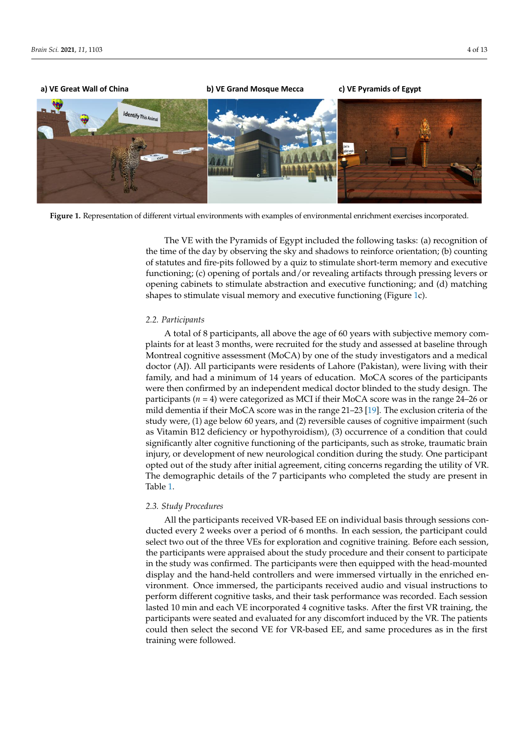<span id="page-4-0"></span>

shapes to stimulate visual memory and executive functioning (Figure 1c).

**Figure 1.** Representation of different virtual environments with examples of environmental enrichment exercises incorpo-**Figure 1.** Representation of different virtual environments with examples of environmental enrichment exercises incorporated.

*2.2. Participants* the time of the day by observing the sky and shadows to reinforce orientation; (b) counting Functioning; (c) opening of portals and/or revealing artifacts through pressing levers or plants for a person study and assessment opening cabinets to stimulate abstraction and executive functioning; and (d) matching  $\phi$  and  $\phi$  constants the studies assessment (Montreal more of the study investigators and a medical medical medical medical medical medical medical medical medical medical medical medical medical medical medical medica shapes to stimulate visual memory and executive functioning (Figure [1c](#page-4-0)). The VE with the Pyramids of Egypt included the following tasks: (a) recognition of of statutes and fire-pits followed by a quiz to stimulate short-term memory and executive

#### family, and  $\mathbf{r}$  and  $\mathbf{r}$  are soft the participants of the participants of the participants of the participants of the participants of the participants of the participants of the participants of the participants o 2.2. Furtilipunts *2.2. Participants*

A total of 8 participants, all above the age of 60 years with subjective memory complaints for at least 3 months, were recruited for the study and assessed at baseline through Montreal cognitive assessment (MoCA) by one of the study investigators and a medical doctor (AJ). All participants were residents of Lahore (Pakistan), were living with their family, and had a minimum of 14 years of education. MoCA scores of the participants were then confirmed by an independent medical doctor blinded to the study design. The participants (*n* = 4) were categorized as MCI if their MoCA score was in the range 24–26 or mild dementia if their MoCA score was in the range  $21-23$  [\[19\]](#page-12-16). The exclusion criteria of the study were, (1) age below 60 years, and (2) reversible causes of cognitive impairment (such *2.3. Study Procedures* significantly alter cognitive functioning of the participants, such as stroke, traumatic brain All the participants received VR-based EE on individual basis through sessions con-opted out of the study after initial agreement, citing concerns regarding the utility of VR.  $\frac{1}{2}$  we consider the participants over a period of  $\frac{1}{2}$  months. In each session, the participant could be child are present in The demographic details of the 7 participants who completed the study are present in<br>Table 1 the participants were appraised about the study procedure and their consent to participate as Vitamin B12 deficiency or hypothyroidism), (3) occurrence of a condition that could injury, or development of new neurological condition during the study. One participant Table [1.](#page-2-0)

# in the study was confirmed. The participants were then equipped with the head-mounted *2.3. Study Procedures*

All the participants received VR-based EE on individual basis through sessions conducted every 2 weeks over a period of 6 months. In each session, the participant could select two out of the three VEs for exploration and cognitive training. Before each session, the participants were appraised about the study procedure and their consent to participate in the study was confirmed. The participants were then equipped with the head-mounted display and the hand-held controllers and were immersed virtually in the enriched environment. Once immersed, the participants received audio and visual instructions to perform different cognitive tasks, and their task performance was recorded. Each session lasted 10 min and each VE incorporated 4 cognitive tasks. After the first VR training, the participants were seated and evaluated for any discomfort induced by the VR. The patients could then select the second VE for VR-based EE, and same procedures as in the first training were followed.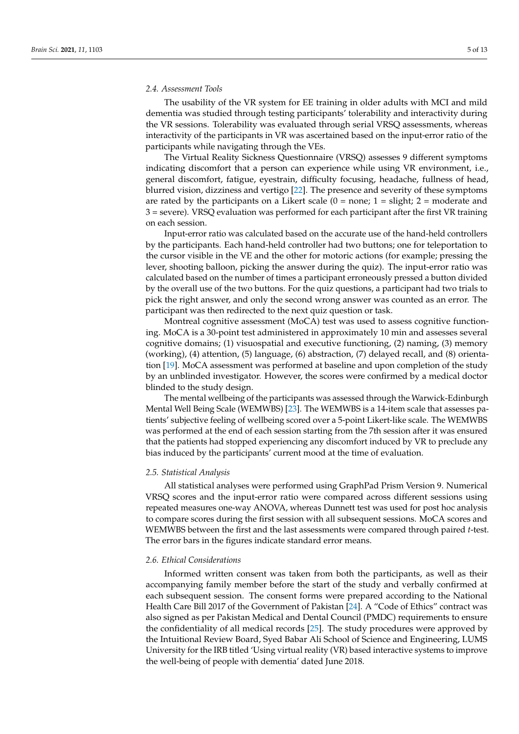### *2.4. Assessment Tools*

The usability of the VR system for EE training in older adults with MCI and mild dementia was studied through testing participants' tolerability and interactivity during the VR sessions. Tolerability was evaluated through serial VRSQ assessments, whereas interactivity of the participants in VR was ascertained based on the input-error ratio of the participants while navigating through the VEs.

The Virtual Reality Sickness Questionnaire (VRSQ) assesses 9 different symptoms indicating discomfort that a person can experience while using VR environment, i.e., general discomfort, fatigue, eyestrain, difficulty focusing, headache, fullness of head, blurred vision, dizziness and vertigo [\[22\]](#page-12-19). The presence and severity of these symptoms are rated by the participants on a Likert scale  $(0 = none; 1 = slight; 2 = moderate and$ 3 = severe). VRSQ evaluation was performed for each participant after the first VR training on each session.

Input-error ratio was calculated based on the accurate use of the hand-held controllers by the participants. Each hand-held controller had two buttons; one for teleportation to the cursor visible in the VE and the other for motoric actions (for example; pressing the lever, shooting balloon, picking the answer during the quiz). The input-error ratio was calculated based on the number of times a participant erroneously pressed a button divided by the overall use of the two buttons. For the quiz questions, a participant had two trials to pick the right answer, and only the second wrong answer was counted as an error. The participant was then redirected to the next quiz question or task.

Montreal cognitive assessment (MoCA) test was used to assess cognitive functioning. MoCA is a 30-point test administered in approximately 10 min and assesses several cognitive domains; (1) visuospatial and executive functioning, (2) naming, (3) memory (working), (4) attention, (5) language, (6) abstraction, (7) delayed recall, and (8) orientation [\[19\]](#page-12-16). MoCA assessment was performed at baseline and upon completion of the study by an unblinded investigator. However, the scores were confirmed by a medical doctor blinded to the study design.

The mental wellbeing of the participants was assessed through the Warwick-Edinburgh Mental Well Being Scale (WEMWBS) [\[23\]](#page-12-20). The WEMWBS is a 14-item scale that assesses patients' subjective feeling of wellbeing scored over a 5-point Likert-like scale. The WEMWBS was performed at the end of each session starting from the 7th session after it was ensured that the patients had stopped experiencing any discomfort induced by VR to preclude any bias induced by the participants' current mood at the time of evaluation.

#### *2.5. Statistical Analysis*

All statistical analyses were performed using GraphPad Prism Version 9. Numerical VRSQ scores and the input-error ratio were compared across different sessions using repeated measures one-way ANOVA, whereas Dunnett test was used for post hoc analysis to compare scores during the first session with all subsequent sessions. MoCA scores and WEMWBS between the first and the last assessments were compared through paired *t*-test. The error bars in the figures indicate standard error means.

# *2.6. Ethical Considerations*

Informed written consent was taken from both the participants, as well as their accompanying family member before the start of the study and verbally confirmed at each subsequent session. The consent forms were prepared according to the National Health Care Bill 2017 of the Government of Pakistan [\[24\]](#page-12-21). A "Code of Ethics" contract was also signed as per Pakistan Medical and Dental Council (PMDC) requirements to ensure the confidentiality of all medical records [\[25\]](#page-12-22). The study procedures were approved by the Intuitional Review Board, Syed Babar Ali School of Science and Engineering, LUMS University for the IRB titled 'Using virtual reality (VR) based interactive systems to improve the well-being of people with dementia' dated June 2018.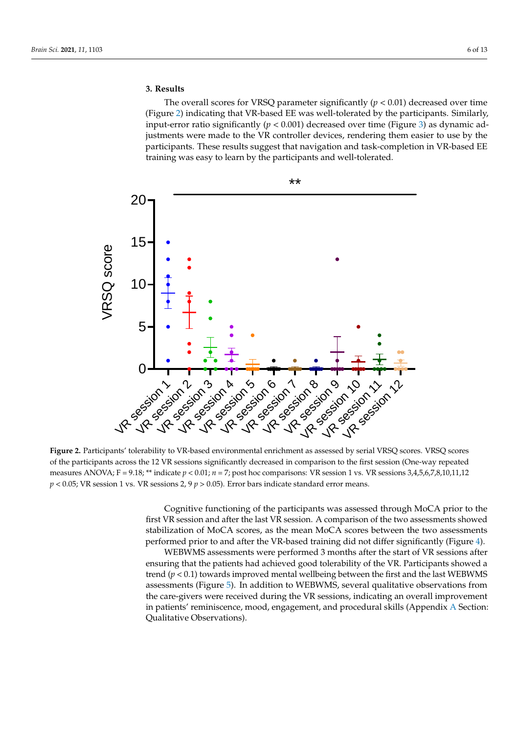# **3. Results**

The overall scores for VRSQ parameter significantly  $(p < 0.01)$  decreased over time (Figure 2) indicating that VR-based EE was well-tolerated by the participants. Similarly, (Figure 2) indicating [th](#page-6-0)at VR-based EE was well-tolerated by the participants. Similarly, input-error ratio significantly (*p* < 0.001) decreased over time (Figure 3) as dynamic ad-input-error ratio significantly (*p* < 0.001) decreased over time (Figure 3) as dynam[ic](#page-7-0) adjustments were made to the VR controller devices, rendering them easier to use by the justments were made to the VR controller devices, rendering them easier to use by the participants. These results suggest that navigation and task-completion in VR-based EE participants. These results suggest that navigation and task-completion in VR-based EE training was easy to learn by the participants and well-tolerated. training was easy to learn by the participants and well-tolerated.

<span id="page-6-0"></span>

\*\*

**Figure 2.** Participants' tolerability to VR-based environmental enrichment as assessed by serial VRSQ scores. VRSQ scores of the participants across the 12 VR sessions significantly decreased in comparison to the first session (One-way repeated measures ANOVA; F = 9.18;  $**$  indicate  $p < 0.01$ ;  $n = 7$ ; post hoc comparisons: VR session 1 vs. VR sessions 3,4,5,6,7,8,10,11,12  $p < 0.05$ ; VR session 1 vs. VR sessions 2, 9  $p > 0.05$ ). Error bars indicate standard error means.

Cognitive functioning of the participants was assessed through MoCA prior to the first VR session and after the last VR session. A comparison of the two assessments showed stabilization of MoCA scores, as the mean MoCA scores between the two assessments performed prior to and after the VR-based training did not differ significantly (Figure [4\)](#page-7-1).

WEBWMS assessments were performed 3 months after the start of VR sessions after ensuring that the patients had achieved good tolerability of the VR. Participants showed a trend  $(p < 0.1)$  towards improved mental wellbeing between the first and the last WEBWMS assessments (Figure [5\)](#page-8-0). In addition to WEBWMS, several qualitative observations from the care-givers were received during the VR sessions, indicating an overall improvement in patients' reminiscence, mood, engagement, and procedural skills (Appendix [A](#page-11-0) Section: Qualitative Observations).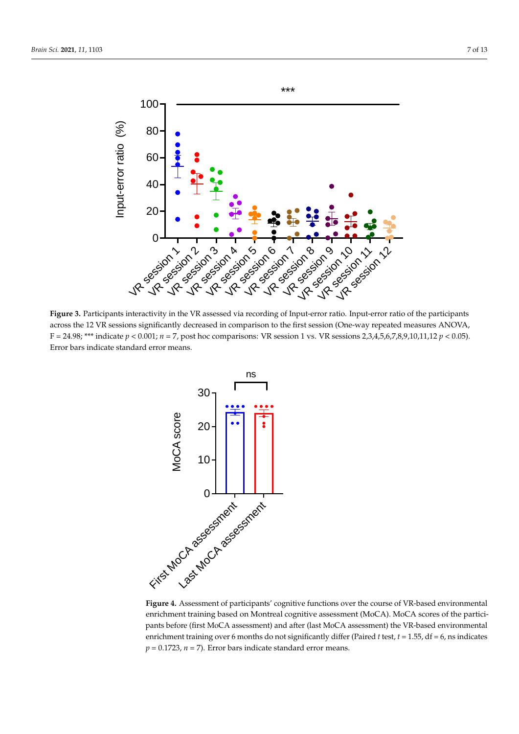

<span id="page-7-0"></span>*Brain Sci.* **2021**, *11*, x FOR PEER REVIEW 7 of 15

Figure 3. Participants interactivity in the VR assessed via recording of Input-error ratio. Input-error ratio of the participants across the 12 VR sessions significantly decreased in comparison to the first session (One-way repeated measures ANOVA, F = 20001011; *o.g. antennis a comparison is the more occurred* (One way repeated measured F = 24.98; \*\*\* indicate  $p < 0.001$ ;  $n = 7$ , post hoc comparisons: VR session 1 vs. VR sessions 2,3,4,5,6,7,8,9,10,11,12  $p < 0.05$ ). Error bars indicate standard error means.

<span id="page-7-1"></span>

Figure 4. Assessment of participants' cognitive functions over the course of VR-based environmental  $\frac{1}{\sqrt{2}}$ enrichment training based on Montreal cognitive assessment (MoCA). MoCA scores of the participants before (first MoCA assessment) and after (last MoCA assessment) the VR-based environmental enrichment training over 6 months do not significantly differ (Paired *t* test, *t* = 1.55, df = 6, ns indicates  $p = 0.1723$ ,  $n = 7$ ). Error bars indicate standard error means.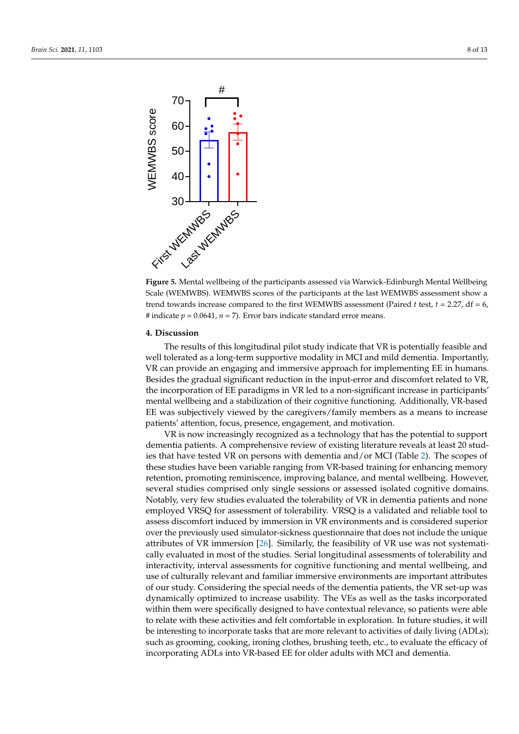<span id="page-8-0"></span>

**Figure 5.** Mental wellbeing of the participants assessed via Warwick-Edinburgh Mental Wellbeing **Figure 5.** Mental wellbeing of the participants assessed via Warwick-Edinburgh Mental Wellbeing  $S_{\text{S}}$ , (WEMWBS). WEMWBS scores of the participants at the last WEM Scale (WEMWBS). WEMWBS scores of the participants at the last WEMWBS assessment show a trend towards increase compared to the first WEMWBS assessment (Paired *t* test, *t* = 2.27, df = 6, # indicate  $p = 0.0641$ ,  $n = 7$ ). Error bars indicate standard error means.

### The results of this longitudinal pilot study indicate that VR is potentially feasible and **4. Discussion**

we have a long-term supportive modelity in McI and mild demonstrated demonstrated  $\overline{YD}$  is a The results of this longitudinal pilot study indicate that VR is potentially feasible and well tolerated as a long-term supportive modality in MCI and mild dementia. Importantly, VR can provide an engaging and immersive approach for implementing EE in humans. Besides the gradual significant reduction in the input-error and discomfort related to VR, the incorporation of  $\overline{EF}$  paradigms in  $\overline{VP}$  led to a non-gignificant in the incorporation of EE paradigms in VR led to a non-significant increase in participants' mental wellbeing and a stabilization of their cognitive functioning. Additionally, VR-based EE was subjectively viewed by the caregivers/family members as a means to increase patients' attention, focus, presence, engagement, and motivation.

VR is now increasingly recognized as a technology that has the potential to support retention, promoting reminiscence, improving balance, and mental wellbeing. However, dementia patients. A comprehensive review of existing literature reveals at least 20 stud-ies that have tested VR on persons with dementia and/or MCI (Table [2\)](#page-9-0). The scopes of these studies have been variable ranging from VR-based training for enhancing memory retention, promoting reminiscence, improving balance, and mental wellbeing. However, over the previously used simulator-sickness questionnaire that does not include the several studies comprised only single sessions or assessed isolated cognitive domains. Notably, very few studies evaluated the tolerability of VR in dementia patients and none employed VRSQ for assessment of tolerability. VRSQ is a validated and reliable tool to assess discomfort induced by immersion in VR environments and is considered superior over the previously used simulator-sickness questionnaire that does not include the unique was discussed to increase use  $\frac{1}{2}$  as well as the tasks incorporated to incorporate use  $\frac{1}{2}$  as  $\frac{1}{2}$  as  $\frac{1}{2}$  as  $\frac{1}{2}$  as  $\frac{1}{2}$  as  $\frac{1}{2}$  as  $\frac{1}{2}$  as  $\frac{1}{2}$  as  $\frac{1}{2}$  as  $\frac{1}{2}$  a attributes of VR immersion [\[26\]](#page-12-23). Similarly, the feasibility of VR use was not systematically evaluated in most of the studies. Serial longitudinal assessments of tolerability and interactivity, interval assessments for cognitive functioning and mental wellbeing, and use of culturally relevant and familiar immersive environments are important attributes of our study. Considering the special needs of the dementia patients, the VR set-up was dynamically optimized to increase usability. The VEs as well as the tasks incorporated within them were specifically designed to have contextual relevance, so patients were able to relate with these activities and felt comfortable in exploration. In future studies, it will be interesting to incorporate tasks that are more relevant to activities of daily living (ADLs); such as grooming, cooking, ironing clothes, brushing teeth, etc., to evaluate the efficacy of incorporating ADLs into VR-based EE for older adults with MCI and dementia.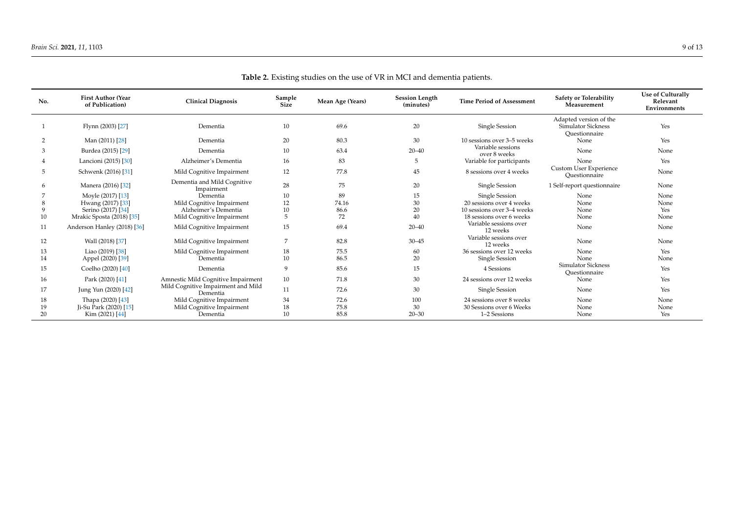<span id="page-9-0"></span>

| No. | <b>First Author (Year</b><br>of Publication) | <b>Clinical Diagnosis</b>                      | Sample<br>Size | Mean Age (Years) | <b>Session Length</b><br>(minutes) | <b>Time Period of Assessment</b>   | <b>Safety or Tolerability</b><br>Measurement                  | <b>Use of Culturally</b><br>Relevant<br>Environments |
|-----|----------------------------------------------|------------------------------------------------|----------------|------------------|------------------------------------|------------------------------------|---------------------------------------------------------------|------------------------------------------------------|
|     | Flynn (2003) [27]                            | Dementia                                       | 10             | 69.6             | 20                                 | Single Session                     | Adapted version of the<br>Simulator Sickness<br>Ouestionnaire | Yes                                                  |
|     | Man (2011) [28]                              | Dementia                                       | 20             | 80.3             | 30                                 | 10 sessions over 3-5 weeks         | None                                                          | Yes                                                  |
| 3   | Burdea (2015) [29]                           | Dementia                                       | 10             | 63.4             | $20 - 40$                          | Variable sessions<br>over 8 weeks  | None                                                          | None                                                 |
|     | Lancioni (2015) [30]                         | Alzheimer's Dementia                           | 16             | 83               |                                    | Variable for participants          | None                                                          | Yes                                                  |
| 5   | Schwenk (2016) [31]                          | Mild Cognitive Impairment                      | 12             | 77.8             | 45                                 | 8 sessions over 4 weeks            | Custom User Experience<br>Ouestionnaire                       | None                                                 |
|     | Manera (2016) [32]                           | Dementia and Mild Cognitive<br>Impairment      | 28             | 75               | 20                                 | Single Session                     | 1 Self-report questionnaire                                   | None                                                 |
|     | Moyle (2017) [13]                            | Dementia                                       | 10             | 89               | 15                                 | Single Session                     | None                                                          | None                                                 |
|     | Hwang (2017) [33]                            | Mild Cognitive Impairment                      | 12             | 74.16            | 30                                 | 20 sessions over 4 weeks           | None                                                          | None                                                 |
|     | Serino (2017) [34]                           | Alzheimer's Dementia                           | 10             | 86.6             | 20                                 | 10 sessions over 3-4 weeks         | None                                                          | Yes                                                  |
| 10  | Mrakic Sposta (2018) [35]                    | Mild Cognitive Impairment                      | 5              | 72               | 40                                 | 18 sessions over 6 weeks           | None                                                          | None                                                 |
| 11  | Anderson Hanley (2018) [36]                  | Mild Cognitive Impairment                      | 15             | 69.4             | $20 - 40$                          | Variable sessions over<br>12 weeks | None                                                          | None                                                 |
| 12  | Wall (2018) [37]                             | Mild Cognitive Impairment                      | 7              | 82.8             | $30 - 45$                          | Variable sessions over<br>12 weeks | None                                                          | None                                                 |
| 13  | Liao (2019) [38]                             | Mild Cognitive Impairment                      | 18             | 75.5             | 60                                 | 36 sessions over 12 weeks          | None                                                          | Yes                                                  |
| 14  | Appel (2020) [39]                            | Dementia                                       | 10             | 86.5             | 20                                 | Single Session                     | None                                                          | None                                                 |
| 15  | Coelho (2020) [40]                           | Dementia                                       | 9              | 85.6             | 15                                 | 4 Sessions                         | <b>Simulator Sickness</b><br>Ouestionnaire                    | Yes                                                  |
| 16  | Park (2020) [41]                             | Amnestic Mild Cognitive Impairment             | 10             | 71.8             | 30                                 | 24 sessions over 12 weeks          | None                                                          | Yes                                                  |
| 17  | Jung Yun (2020) [42]                         | Mild Cognitive Impairment and Mild<br>Dementia | 11             | 72.6             | 30                                 | Single Session                     | None                                                          | Yes                                                  |
| 18  | Thapa (2020) [43]                            | Mild Cognitive Impairment                      | 34             | 72.6             | 100                                | 24 sessions over 8 weeks           | None                                                          | None                                                 |
| 19  | Ji-Su Park (2020) [15]                       | Mild Cognitive Impairment                      | 18             | 75.8             | 30                                 | 30 Sessions over 6 Weeks           | None                                                          | None                                                 |
| 20  | Kim (2021) [44]                              | Dementia                                       | 10             | 85.8             | $20 - 30$                          | 1-2 Sessions                       | None                                                          | Yes                                                  |

**Table 2.** Existing studies on the use of VR in MCI and dementia patients.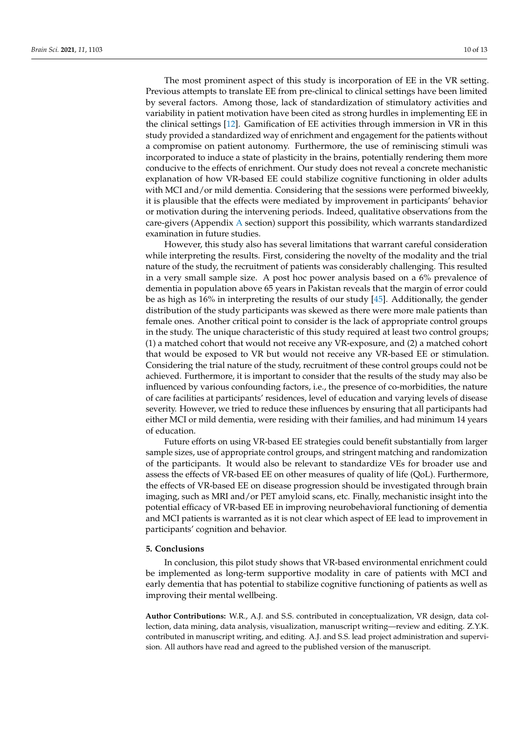The most prominent aspect of this study is incorporation of EE in the VR setting. Previous attempts to translate EE from pre-clinical to clinical settings have been limited by several factors. Among those, lack of standardization of stimulatory activities and variability in patient motivation have been cited as strong hurdles in implementing EE in the clinical settings [\[12\]](#page-12-10). Gamification of EE activities through immersion in VR in this study provided a standardized way of enrichment and engagement for the patients without a compromise on patient autonomy. Furthermore, the use of reminiscing stimuli was incorporated to induce a state of plasticity in the brains, potentially rendering them more conducive to the effects of enrichment. Our study does not reveal a concrete mechanistic explanation of how VR-based EE could stabilize cognitive functioning in older adults with MCI and/or mild dementia. Considering that the sessions were performed biweekly, it is plausible that the effects were mediated by improvement in participants' behavior or motivation during the intervening periods. Indeed, qualitative observations from the care-givers (Appendix [A](#page-11-0) section) support this possibility, which warrants standardized examination in future studies.

However, this study also has several limitations that warrant careful consideration while interpreting the results. First, considering the novelty of the modality and the trial nature of the study, the recruitment of patients was considerably challenging. This resulted in a very small sample size. A post hoc power analysis based on a 6% prevalence of dementia in population above 65 years in Pakistan reveals that the margin of error could be as high as 16% in interpreting the results of our study [\[45\]](#page-13-17). Additionally, the gender distribution of the study participants was skewed as there were more male patients than female ones. Another critical point to consider is the lack of appropriate control groups in the study. The unique characteristic of this study required at least two control groups; (1) a matched cohort that would not receive any VR-exposure, and (2) a matched cohort that would be exposed to VR but would not receive any VR-based EE or stimulation. Considering the trial nature of the study, recruitment of these control groups could not be achieved. Furthermore, it is important to consider that the results of the study may also be influenced by various confounding factors, i.e., the presence of co-morbidities, the nature of care facilities at participants' residences, level of education and varying levels of disease severity. However, we tried to reduce these influences by ensuring that all participants had either MCI or mild dementia, were residing with their families, and had minimum 14 years of education.

Future efforts on using VR-based EE strategies could benefit substantially from larger sample sizes, use of appropriate control groups, and stringent matching and randomization of the participants. It would also be relevant to standardize VEs for broader use and assess the effects of VR-based EE on other measures of quality of life (QoL). Furthermore, the effects of VR-based EE on disease progression should be investigated through brain imaging, such as MRI and/or PET amyloid scans, etc. Finally, mechanistic insight into the potential efficacy of VR-based EE in improving neurobehavioral functioning of dementia and MCI patients is warranted as it is not clear which aspect of EE lead to improvement in participants' cognition and behavior.

# **5. Conclusions**

In conclusion, this pilot study shows that VR-based environmental enrichment could be implemented as long-term supportive modality in care of patients with MCI and early dementia that has potential to stabilize cognitive functioning of patients as well as improving their mental wellbeing.

**Author Contributions:** W.R., A.J. and S.S. contributed in conceptualization, VR design, data collection, data mining, data analysis, visualization, manuscript writing—review and editing. Z.Y.K. contributed in manuscript writing, and editing. A.J. and S.S. lead project administration and supervision. All authors have read and agreed to the published version of the manuscript.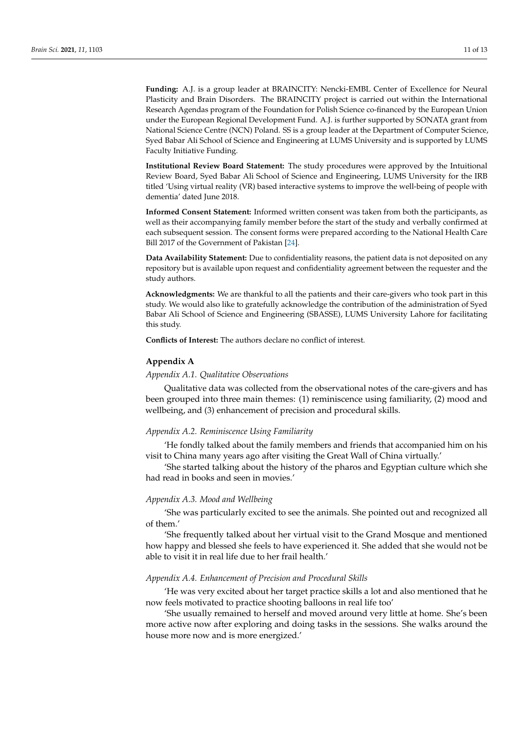**Funding:** A.J. is a group leader at BRAINCITY: Nencki-EMBL Center of Excellence for Neural Plasticity and Brain Disorders. The BRAINCITY project is carried out within the International Research Agendas program of the Foundation for Polish Science co-financed by the European Union under the European Regional Development Fund. A.J. is further supported by SONATA grant from National Science Centre (NCN) Poland. SS is a group leader at the Department of Computer Science, Syed Babar Ali School of Science and Engineering at LUMS University and is supported by LUMS Faculty Initiative Funding.

**Institutional Review Board Statement:** The study procedures were approved by the Intuitional Review Board, Syed Babar Ali School of Science and Engineering, LUMS University for the IRB titled 'Using virtual reality (VR) based interactive systems to improve the well-being of people with dementia' dated June 2018.

**Informed Consent Statement:** Informed written consent was taken from both the participants, as well as their accompanying family member before the start of the study and verbally confirmed at each subsequent session. The consent forms were prepared according to the National Health Care Bill 2017 of the Government of Pakistan [\[24\]](#page-12-21).

**Data Availability Statement:** Due to confidentiality reasons, the patient data is not deposited on any repository but is available upon request and confidentiality agreement between the requester and the study authors.

**Acknowledgments:** We are thankful to all the patients and their care-givers who took part in this study. We would also like to gratefully acknowledge the contribution of the administration of Syed Babar Ali School of Science and Engineering (SBASSE), LUMS University Lahore for facilitating this study.

**Conflicts of Interest:** The authors declare no conflict of interest.

#### <span id="page-11-0"></span>**Appendix A**

## *Appendix A.1. Qualitative Observations*

Qualitative data was collected from the observational notes of the care-givers and has been grouped into three main themes: (1) reminiscence using familiarity, (2) mood and wellbeing, and (3) enhancement of precision and procedural skills.

### *Appendix A.2. Reminiscence Using Familiarity*

'He fondly talked about the family members and friends that accompanied him on his visit to China many years ago after visiting the Great Wall of China virtually.'

'She started talking about the history of the pharos and Egyptian culture which she had read in books and seen in movies.'

## *Appendix A.3. Mood and Wellbeing*

'She was particularly excited to see the animals. She pointed out and recognized all of them.'

'She frequently talked about her virtual visit to the Grand Mosque and mentioned how happy and blessed she feels to have experienced it. She added that she would not be able to visit it in real life due to her frail health.'

# *Appendix A.4. Enhancement of Precision and Procedural Skills*

'He was very excited about her target practice skills a lot and also mentioned that he now feels motivated to practice shooting balloons in real life too'

'She usually remained to herself and moved around very little at home. She's been more active now after exploring and doing tasks in the sessions. She walks around the house more now and is more energized.'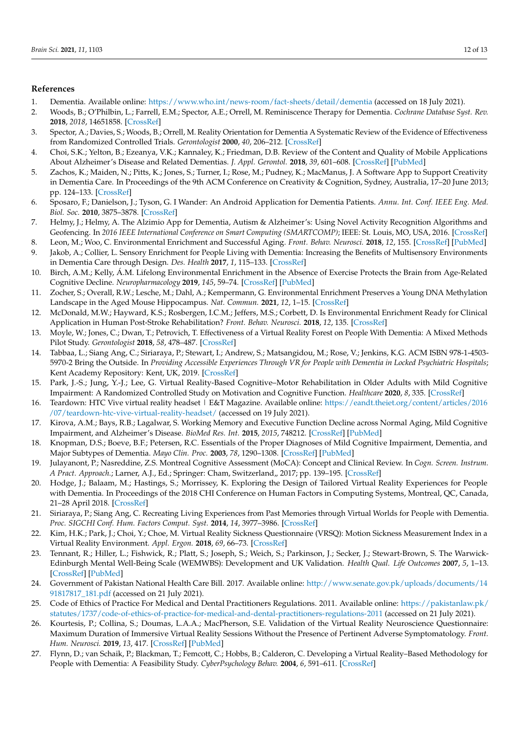# **References**

- <span id="page-12-0"></span>1. Dementia. Available online: <https://www.who.int/news-room/fact-sheets/detail/dementia> (accessed on 18 July 2021).
- <span id="page-12-25"></span><span id="page-12-1"></span>2. Woods, B.; O'Philbin, L.; Farrell, E.M.; Spector, A.E.; Orrell, M. Reminiscence Therapy for Dementia. *Cochrane Database Syst. Rev.* **2018**, *2018*, 14651858. [\[CrossRef\]](http://doi.org/10.1002/14651858.CD001120.pub3)
- <span id="page-12-2"></span>3. Spector, A.; Davies, S.; Woods, B.; Orrell, M. Reality Orientation for Dementia A Systematic Review of the Evidence of Effectiveness from Randomized Controlled Trials. *Gerontologist* **2000**, *40*, 206–212. [\[CrossRef\]](http://doi.org/10.1093/geront/40.2.206)
- <span id="page-12-3"></span>4. Choi, S.K.; Yelton, B.; Ezeanya, V.K.; Kannaley, K.; Friedman, D.B. Review of the Content and Quality of Mobile Applications About Alzheimer's Disease and Related Dementias. *J. Appl. Gerontol.* **2018**, *39*, 601–608. [\[CrossRef\]](http://doi.org/10.1177/0733464818790187) [\[PubMed\]](http://www.ncbi.nlm.nih.gov/pubmed/30049239)
- <span id="page-12-26"></span><span id="page-12-4"></span>5. Zachos, K.; Maiden, N.; Pitts, K.; Jones, S.; Turner, I.; Rose, M.; Pudney, K.; MacManus, J. A Software App to Support Creativity in Dementia Care. In Proceedings of the 9th ACM Conference on Creativity & Cognition, Sydney, Australia, 17–20 June 2013; pp. 124–133. [\[CrossRef\]](http://doi.org/10.1145/2466627.2466637)
- <span id="page-12-5"></span>6. Sposaro, F.; Danielson, J.; Tyson, G. I Wander: An Android Application for Dementia Patients. *Annu. Int. Conf. IEEE Eng. Med. Biol. Soc.* **2010**, 3875–3878. [\[CrossRef\]](http://doi.org/10.1109/IEMBS.2010.5627669)
- <span id="page-12-6"></span>7. Helmy, J.; Helmy, A. The Alzimio App for Dementia, Autism & Alzheimer's: Using Novel Activity Recognition Algorithms and Geofencing. In *2016 IEEE International Conference on Smart Computing (SMARTCOMP)*; IEEE: St. Louis, MO, USA, 2016. [\[CrossRef\]](http://doi.org/10.1109/SMARTCOMP.2016.7501720)
- <span id="page-12-7"></span>8. Leon, M.; Woo, C. Environmental Enrichment and Successful Aging. *Front. Behav. Neurosci.* **2018**, *12*, 155. [\[CrossRef\]](http://doi.org/10.3389/fnbeh.2018.00155) [\[PubMed\]](http://www.ncbi.nlm.nih.gov/pubmed/30083097)
- <span id="page-12-8"></span>9. Jakob, A.; Collier, L. Sensory Enrichment for People Living with Dementia: Increasing the Benefits of Multisensory Environments in Dementia Care through Design. *Des. Health* **2017**, *1*, 115–133. [\[CrossRef\]](http://doi.org/10.1080/24735132.2017.1296274)
- 10. Birch, A.M.; Kelly, Á.M. Lifelong Environmental Enrichment in the Absence of Exercise Protects the Brain from Age-Related Cognitive Decline. *Neuropharmacology* **2019**, *145*, 59–74. [\[CrossRef\]](http://doi.org/10.1016/j.neuropharm.2018.03.042) [\[PubMed\]](http://www.ncbi.nlm.nih.gov/pubmed/29630903)
- <span id="page-12-9"></span>11. Zocher, S.; Overall, R.W.; Lesche, M.; Dahl, A.; Kempermann, G. Environmental Enrichment Preserves a Young DNA Methylation Landscape in the Aged Mouse Hippocampus. *Nat. Commun.* **2021**, *12*, 1–15. [\[CrossRef\]](http://doi.org/10.1038/s41467-021-23993-1)
- <span id="page-12-10"></span>12. McDonald, M.W.; Hayward, K.S.; Rosbergen, I.C.M.; Jeffers, M.S.; Corbett, D. Is Environmental Enrichment Ready for Clinical Application in Human Post-Stroke Rehabilitation? *Front. Behav. Neurosci.* **2018**, *12*, 135. [\[CrossRef\]](http://doi.org/10.3389/fnbeh.2018.00135)
- <span id="page-12-11"></span>13. Moyle, W.; Jones, C.; Dwan, T.; Petrovich, T. Effectiveness of a Virtual Reality Forest on People With Dementia: A Mixed Methods Pilot Study. *Gerontologist* **2018**, *58*, 478–487. [\[CrossRef\]](http://doi.org/10.1093/geront/gnw270)
- <span id="page-12-12"></span>14. Tabbaa, L.; Siang Ang, C.; Siriaraya, P.; Stewart, I.; Andrew, S.; Matsangidou, M.; Rose, V.; Jenkins, K.G. ACM ISBN 978-1-4503- 5970-2 Bring the Outside. In *Providing Accessible Experiences Through VR for People with Dementia in Locked Psychiatric Hospitals*; Kent Academy Repository: Kent, UK, 2019. [\[CrossRef\]](http://doi.org/10.1145/3290605.3300466)
- <span id="page-12-13"></span>15. Park, J.-S.; Jung, Y.-J.; Lee, G. Virtual Reality-Based Cognitive–Motor Rehabilitation in Older Adults with Mild Cognitive Impairment: A Randomized Controlled Study on Motivation and Cognitive Function. *Healthcare* **2020**, *8*, 335. [\[CrossRef\]](http://doi.org/10.3390/healthcare8030335)
- <span id="page-12-14"></span>16. Teardown: HTC Vive virtual reality headset | E&T Magazine. Available online: [https://eandt.theiet.org/content/articles/2016](https://eandt.theiet.org/content/articles/2016/07/teardown-htc-vive-virtual-reality-headset/) [/07/teardown-htc-vive-virtual-reality-headset/](https://eandt.theiet.org/content/articles/2016/07/teardown-htc-vive-virtual-reality-headset/) (accessed on 19 July 2021).
- <span id="page-12-15"></span>17. Kirova, A.M.; Bays, R.B.; Lagalwar, S. Working Memory and Executive Function Decline across Normal Aging, Mild Cognitive Impairment, and Alzheimer's Disease. *BioMed Res. Int.* **2015**, *2015*, 748212. [\[CrossRef\]](http://doi.org/10.1155/2015/748212) [\[PubMed\]](http://www.ncbi.nlm.nih.gov/pubmed/26550575)
- <span id="page-12-24"></span>18. Knopman, D.S.; Boeve, B.F.; Petersen, R.C. Essentials of the Proper Diagnoses of Mild Cognitive Impairment, Dementia, and Major Subtypes of Dementia. *Mayo Clin. Proc.* **2003**, *78*, 1290–1308. [\[CrossRef\]](http://doi.org/10.4065/78.10.1290) [\[PubMed\]](http://www.ncbi.nlm.nih.gov/pubmed/14531488)
- <span id="page-12-16"></span>19. Julayanont, P.; Nasreddine, Z.S. Montreal Cognitive Assessment (MoCA): Concept and Clinical Review. In *Cogn. Screen. Instrum. A Pract. Approach.*; Larner, A.J., Ed.; Springer: Cham, Switzerland,, 2017; pp. 139-195. [\[CrossRef\]](http://doi.org/10.1007/978-3-319-44775-9_7)
- <span id="page-12-17"></span>20. Hodge, J.; Balaam, M.; Hastings, S.; Morrissey, K. Exploring the Design of Tailored Virtual Reality Experiences for People with Dementia. In Proceedings of the 2018 CHI Conference on Human Factors in Computing Systems, Montreal, QC, Canada, 21–28 April 2018. [\[CrossRef\]](http://doi.org/10.1145/3173574)
- <span id="page-12-18"></span>21. Siriaraya, P.; Siang Ang, C. Recreating Living Experiences from Past Memories through Virtual Worlds for People with Dementia. *Proc. SIGCHI Conf. Hum. Factors Comput. Syst.* **2014**, *14*, 3977–3986. [\[CrossRef\]](http://doi.org/10.1145/2556288)
- <span id="page-12-19"></span>22. Kim, H.K.; Park, J.; Choi, Y.; Choe, M. Virtual Reality Sickness Questionnaire (VRSQ): Motion Sickness Measurement Index in a Virtual Reality Environment. *Appl. Ergon.* **2018**, *69*, 66–73. [\[CrossRef\]](http://doi.org/10.1016/j.apergo.2017.12.016)
- <span id="page-12-20"></span>23. Tennant, R.; Hiller, L.; Fishwick, R.; Platt, S.; Joseph, S.; Weich, S.; Parkinson, J.; Secker, J.; Stewart-Brown, S. The Warwick-Edinburgh Mental Well-Being Scale (WEMWBS): Development and UK Validation. *Health Qual. Life Outcomes* **2007**, *5*, 1–13. [\[CrossRef\]](http://doi.org/10.1186/1477-7525-5-63) [\[PubMed\]](http://www.ncbi.nlm.nih.gov/pubmed/18042300)
- <span id="page-12-21"></span>24. Government of Pakistan National Health Care Bill. 2017. Available online: [http://www.senate.gov.pk/uploads/documents/14](http://www.senate.gov.pk/uploads/documents/1491817817_181.pdf) [91817817\\_181.pdf](http://www.senate.gov.pk/uploads/documents/1491817817_181.pdf) (accessed on 21 July 2021).
- <span id="page-12-22"></span>25. Code of Ethics of Practice For Medical and Dental Practitioners Regulations. 2011. Available online: [https://pakistanlaw.pk/](https://pakistanlaw.pk/statutes/1737/code-of-ethics-of-practice-for-medical-and-dental-practitioners-regulations-2011) [statutes/1737/code-of-ethics-of-practice-for-medical-and-dental-practitioners-regulations-2011](https://pakistanlaw.pk/statutes/1737/code-of-ethics-of-practice-for-medical-and-dental-practitioners-regulations-2011) (accessed on 21 July 2021).
- <span id="page-12-23"></span>26. Kourtesis, P.; Collina, S.; Doumas, L.A.A.; MacPherson, S.E. Validation of the Virtual Reality Neuroscience Questionnaire: Maximum Duration of Immersive Virtual Reality Sessions Without the Presence of Pertinent Adverse Symptomatology. *Front. Hum. Neurosci.* **2019**, *13*, 417. [\[CrossRef\]](http://doi.org/10.3389/fnhum.2019.00417) [\[PubMed\]](http://www.ncbi.nlm.nih.gov/pubmed/31849627)
- 27. Flynn, D.; van Schaik, P.; Blackman, T.; Femcott, C.; Hobbs, B.; Calderon, C. Developing a Virtual Reality–Based Methodology for People with Dementia: A Feasibility Study. *CyberPsychology Behav.* **2004**, *6*, 591–611. [\[CrossRef\]](http://doi.org/10.1089/109493103322725379)